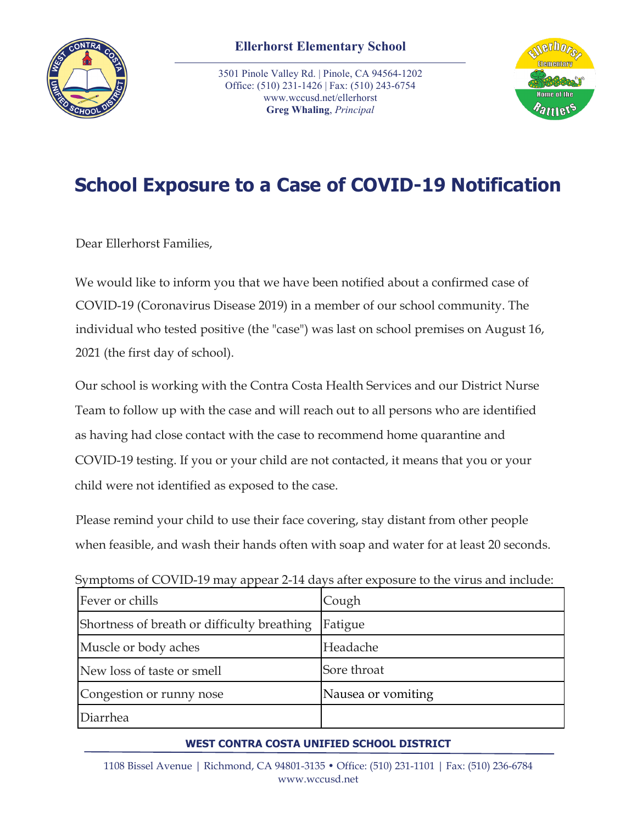

3501 Pinole Valley Rd. | Pinole, CA 94564-1202 Office: (510) 231-1426 | Fax: (510) 243-6754 www.wccusd.net/ellerhorst **Greg Whaling**, *Principal*



## **School Exposure to a Case of COVID-19 Notification**

Dear Ellerhorst Families,

We would like to inform you that we have been notified about a confirmed case of COVID-19 (Coronavirus Disease 2019) in a member of our school community. The individual who tested positive (the "case") was last on school premises on August 16, 2021 (the first day of school).

Our school is working with the Contra Costa Health Services and our District Nurse Team to follow up with the case and will reach out to all persons who are identified as having had close contact with the case to recommend home quarantine and COVID-19 testing. If you or your child are not contacted, it means that you or your child were not identified as exposed to the case.

Please remind your child to use their face covering, stay distant from other people when feasible, and wash their hands often with soap and water for at least 20 seconds.

| Fever or chills                             | Cough              |
|---------------------------------------------|--------------------|
| Shortness of breath or difficulty breathing | Fatigue            |
| Muscle or body aches                        | Headache           |
| New loss of taste or smell                  | Sore throat        |
| Congestion or runny nose                    | Nausea or vomiting |
| Diarrhea                                    |                    |

Symptoms of COVID-19 may appear 2-14 days after exposure to the virus and include:

## **WEST CONTRA COSTA UNIFIED SCHOOL DISTRICT**

1108 Bissel Avenue | Richmond, CA 94801-3135 • Office: (510) 231-1101 | Fax: (510) 236-6784 www.wccusd.net